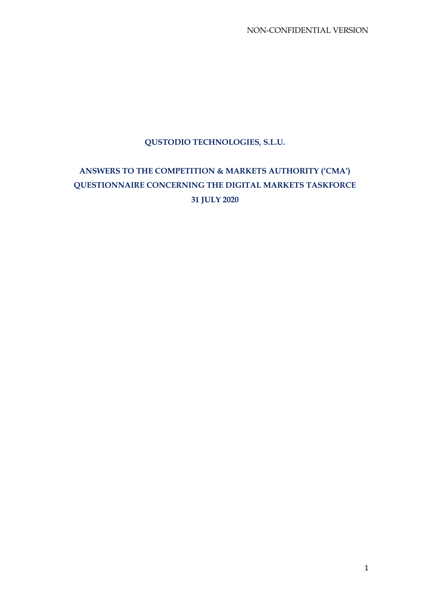NON-CONFIDENTIAL VERSION

### **QUSTODIO TECHNOLOGIES, S.L.U.**

# **ANSWERS TO THE COMPETITION & MARKETS AUTHORITY ('CMA') QUESTIONNAIRE CONCERNING THE DIGITAL MARKETS TASKFORCE 31 JULY 2020**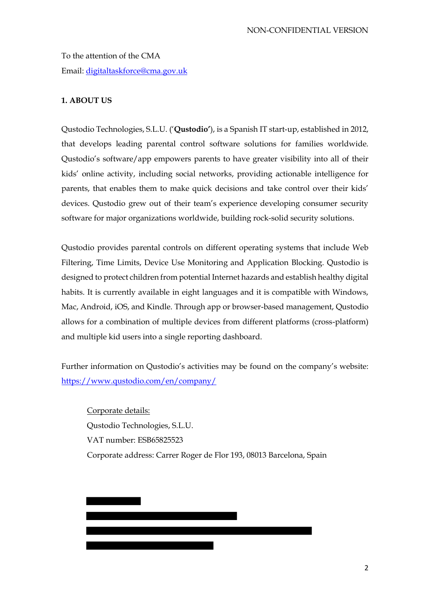To the attention of the CMA Email: [digitaltaskforce@cma.gov.uk](mailto:digitaltaskforce@cma.gov.uk)

### **1. ABOUT US**

Qustodio Technologies, S.L.U. ('**Qustodio'**), is a Spanish IT start-up, established in 2012, that develops leading parental control software solutions for families worldwide. Qustodio's software/app empowers parents to have greater visibility into all of their kids' online activity, including social networks, providing actionable intelligence for parents, that enables them to make quick decisions and take control over their kids' devices. Qustodio grew out of their team's experience developing consumer security software for major organizations worldwide, building rock-solid security solutions.

Qustodio provides parental controls on different operating systems that include Web Filtering, Time Limits, Device Use Monitoring and Application Blocking. Qustodio is designed to protect children from potential Internet hazards and establish healthy digital habits. It is currently available in eight languages and it is compatible with Windows, Mac, Android, iOS, and Kindle. Through app or browser-based management, Qustodio allows for a combination of multiple devices from different platforms (cross-platform) and multiple kid users into a single reporting dashboard.

Further information on Qustodio's activities may be found on the company's website: <https://www.qustodio.com/en/company/>

Corporate details: Qustodio Technologies, S.L.U. VAT number: ESB65825523 Corporate address: Carrer Roger de Flor 193, 08013 Barcelona, Spain

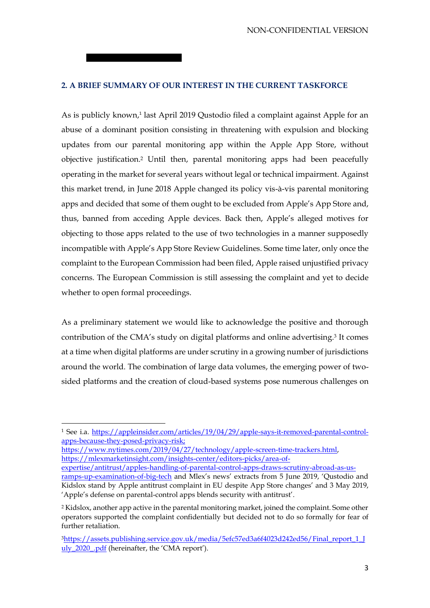### **2. A BRIEF SUMMARY OF OUR INTEREST IN THE CURRENT TASKFORCE**

As is publicly known, 1 last April 2019 Qustodio filed a complaint against Apple for an abuse of a dominant position consisting in threatening with expulsion and blocking updates from our parental monitoring app within the Apple App Store, without objective justification.<sup>2</sup> Until then, parental monitoring apps had been peacefully operating in the market for several years without legal or technical impairment. Against this market trend, in June 2018 Apple changed its policy vis-à-vis parental monitoring apps and decided that some of them ought to be excluded from Apple's App Store and, thus, banned from acceding Apple devices. Back then, Apple's alleged motives for objecting to those apps related to the use of two technologies in a manner supposedly incompatible with Apple's App Store Review Guidelines. Some time later, only once the complaint to the European Commission had been filed, Apple raised unjustified privacy concerns. The European Commission is still assessing the complaint and yet to decide whether to open formal proceedings.

As a preliminary statement we would like to acknowledge the positive and thorough contribution of the CMA's study on digital platforms and online advertising. <sup>3</sup> It comes at a time when digital platforms are under scrutiny in a growing number of jurisdictions around the world. The combination of large data volumes, the emerging power of twosided platforms and the creation of cloud-based systems pose numerous challenges on

[https://www.nytimes.com/2019/04/27/technology/apple-screen-time-trackers.html,](https://www.nytimes.com/2019/04/27/technology/apple-screen-time-trackers.html) [https://mlexmarketinsight.com/insights-center/editors-picks/area-of-](https://mlexmarketinsight.com/insights-center/editors-picks/area-of-expertise/antitrust/apples-handling-of-parental-control-apps-draws-scrutiny-abroad-as-us-ramps-up-examination-of-big-tech)

[expertise/antitrust/apples-handling-of-parental-control-apps-draws-scrutiny-abroad-as-us](https://mlexmarketinsight.com/insights-center/editors-picks/area-of-expertise/antitrust/apples-handling-of-parental-control-apps-draws-scrutiny-abroad-as-us-ramps-up-examination-of-big-tech)[ramps-up-examination-of-big-tech](https://mlexmarketinsight.com/insights-center/editors-picks/area-of-expertise/antitrust/apples-handling-of-parental-control-apps-draws-scrutiny-abroad-as-us-ramps-up-examination-of-big-tech) and Mlex's news' extracts from 5 June 2019, 'Qustodio and Kidslox stand by Apple antitrust complaint in EU despite App Store changes' and 3 May 2019, 'Apple's defense on parental-control apps blends security with antitrust'.

<sup>1</sup> See i.a. [https://appleinsider.com/articles/19/04/29/apple-says-it-removed-parental-control](https://appleinsider.com/articles/19/04/29/apple-says-it-removed-parental-control-apps-because-they-posed-privacy-risk)[apps-because-they-posed-privacy-risk;](https://appleinsider.com/articles/19/04/29/apple-says-it-removed-parental-control-apps-because-they-posed-privacy-risk)

<sup>2</sup> Kidslox, another app active in the parental monitoring market, joined the complaint. Some other operators supported the complaint confidentially but decided not to do so formally for fear of further retaliation.

<sup>&</sup>lt;sup>3</sup>[https://assets.publishing.service.gov.uk/media/5efc57ed3a6f4023d242ed56/Final\\_report\\_1\\_J](https://assets.publishing.service.gov.uk/media/5efc57ed3a6f4023d242ed56/Final_report_1_July_2020_.pdf) [uly\\_2020\\_.pdf](https://assets.publishing.service.gov.uk/media/5efc57ed3a6f4023d242ed56/Final_report_1_July_2020_.pdf) (hereinafter, the 'CMA report').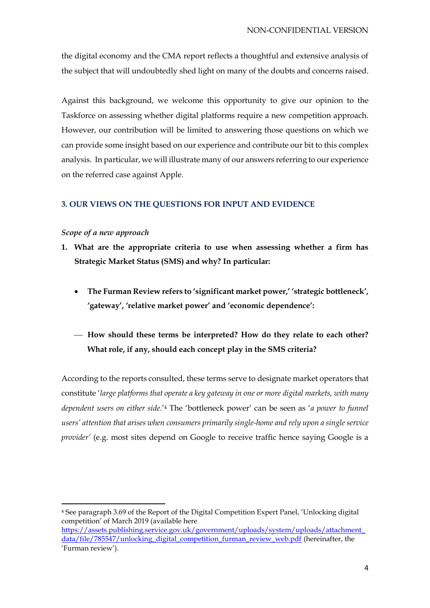the digital economy and the CMA report reflects a thoughtful and extensive analysis of the subject that will undoubtedly shed light on many of the doubts and concerns raised.

Against this background, we welcome this opportunity to give our opinion to the Taskforce on assessing whether digital platforms require a new competition approach. However, our contribution will be limited to answering those questions on which we can provide some insight based on our experience and contribute our bit to this complex analysis. In particular, we will illustrate many of our answers referring to our experience on the referred case against Apple.

### **3. OUR VIEWS ON THE QUESTIONS FOR INPUT AND EVIDENCE**

#### *Scope of a new approach*

- **1. What are the appropriate criteria to use when assessing whether a firm has Strategic Market Status (SMS) and why? In particular:** 
	- **The Furman Review refers to 'significant market power,' 'strategic bottleneck', 'gateway', 'relative market power' and 'economic dependence':**
	- ⎯ **How should these terms be interpreted? How do they relate to each other? What role, if any, should each concept play in the SMS criteria?**

According to the reports consulted, these terms serve to designate market operators that constitute '*large platforms that operate a key gateway in one or more digital markets, with many dependent users on either side.*' <sup>4</sup> The 'bottleneck power' can be seen as '*a power to funnel users' attention that arises when consumers primarily single-home and rely upon a single service provider'* (e.g. most sites depend on Google to receive traffic hence saying Google is a

<sup>4</sup> See paragraph 3.69 of the Report of the Digital Competition Expert Panel, 'Unlocking digital competition' of March 2019 (available here

[https://assets.publishing.service.gov.uk/government/uploads/system/uploads/attachment\\_](https://assets.publishing.service.gov.uk/government/uploads/system/uploads/attachment_data/file/785547/unlocking_digital_competition_furman_review_web.pdf) [data/file/785547/unlocking\\_digital\\_competition\\_furman\\_review\\_web.pdf](https://assets.publishing.service.gov.uk/government/uploads/system/uploads/attachment_data/file/785547/unlocking_digital_competition_furman_review_web.pdf) (hereinafter, the 'Furman review').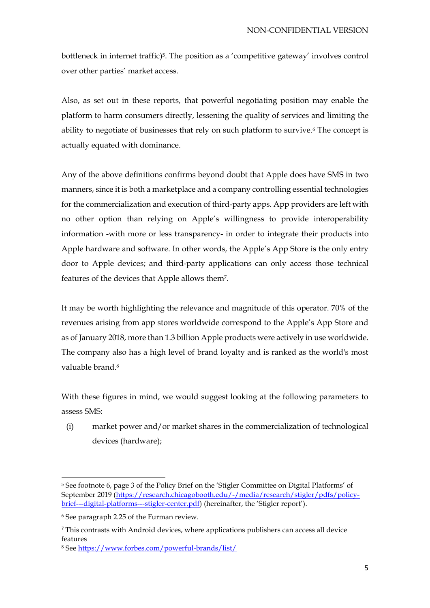bottleneck in internet traffic)<sup>5</sup>. The position as a 'competitive gateway' involves control over other parties' market access.

Also, as set out in these reports*,* that powerful negotiating position may enable the platform to harm consumers directly, lessening the quality of services and limiting the ability to negotiate of businesses that rely on such platform to survive. <sup>6</sup> The concept is actually equated with dominance.

Any of the above definitions confirms beyond doubt that Apple does have SMS in two manners, since it is both a marketplace and a company controlling essential technologies for the commercialization and execution of third-party apps. App providers are left with no other option than relying on Apple's willingness to provide interoperability information -with more or less transparency- in order to integrate their products into Apple hardware and software. In other words, the Apple's App Store is the only entry door to Apple devices; and third-party applications can only access those technical features of the devices that Apple allows them7.

It may be worth highlighting the relevance and magnitude of this operator. 70% of the revenues arising from app stores worldwide correspond to the Apple's App Store and as of January 2018, more than 1.3 billion Apple products were actively in use worldwide. The company also has a high level of brand loyalty and is ranked as the world's most valuable brand. 8

With these figures in mind, we would suggest looking at the following parameters to assess SMS:

(i) market power and/or market shares in the commercialization of technological devices (hardware);

<sup>7</sup> This contrasts with Android devices, where applications publishers can access all device features

<sup>5</sup> See footnote 6, page 3 of the Policy Brief on the 'Stigler Committee on Digital Platforms' of September 2019 [\(https://research.chicagobooth.edu/-/media/research/stigler/pdfs/policy](https://research.chicagobooth.edu/-/media/research/stigler/pdfs/policy-brief---digital-platforms---stigler-center.pdf)[brief---digital-platforms---stigler-center.pdf\)](https://research.chicagobooth.edu/-/media/research/stigler/pdfs/policy-brief---digital-platforms---stigler-center.pdf) (hereinafter, the 'Stigler report').

<sup>6</sup> See paragraph 2.25 of the Furman review.

<sup>8</sup> See<https://www.forbes.com/powerful-brands/list/>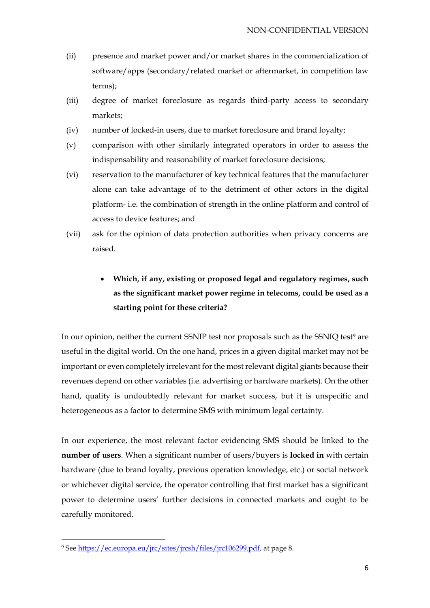- (ii) presence and market power and/or market shares in the commercialization of software/apps (secondary/related market or aftermarket, in competition law terms);
- (iii) degree of market foreclosure as regards third-party access to secondary markets;
- (iv) number of locked-in users, due to market foreclosure and brand loyalty;
- (v) comparison with other similarly integrated operators in order to assess the indispensability and reasonability of market foreclosure decisions;
- (vi) reservation to the manufacturer of key technical features that the manufacturer alone can take advantage of to the detriment of other actors in the digital platform- i.e. the combination of strength in the online platform and control of access to device features; and
- (vii) ask for the opinion of data protection authorities when privacy concerns are raised.

# • **Which, if any, existing or proposed legal and regulatory regimes, such as the significant market power regime in telecoms, could be used as a starting point for these criteria?**

In our opinion, neither the current SSNIP test nor proposals such as the SSNIQ test<sup>9</sup> are useful in the digital world. On the one hand, prices in a given digital market may not be important or even completely irrelevant for the most relevant digital giants because their revenues depend on other variables (i.e. advertising or hardware markets). On the other hand, quality is undoubtedly relevant for market success, but it is unspecific and heterogeneous as a factor to determine SMS with minimum legal certainty.

In our experience, the most relevant factor evidencing SMS should be linked to the **number of users**. When a significant number of users/buyers is **locked in** with certain hardware (due to brand loyalty, previous operation knowledge, etc.) or social network or whichever digital service, the operator controlling that first market has a significant power to determine users' further decisions in connected markets and ought to be carefully monitored.

<sup>9</sup> See [https://ec.europa.eu/jrc/sites/jrcsh/files/jrc106299.pdf,](https://ec.europa.eu/jrc/sites/jrcsh/files/jrc106299.pdf) at page 8.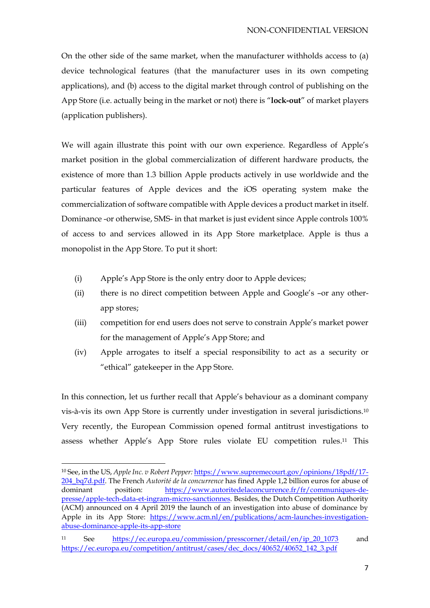On the other side of the same market, when the manufacturer withholds access to (a) device technological features (that the manufacturer uses in its own competing applications), and (b) access to the digital market through control of publishing on the App Store (i.e. actually being in the market or not) there is "**lock-out**" of market players (application publishers).

We will again illustrate this point with our own experience. Regardless of Apple's market position in the global commercialization of different hardware products, the existence of more than 1.3 billion Apple products actively in use worldwide and the particular features of Apple devices and the iOS operating system make the commercialization of software compatible with Apple devices a product market in itself. Dominance -or otherwise, SMS- in that market is just evident since Apple controls 100% of access to and services allowed in its App Store marketplace. Apple is thus a monopolist in the App Store. To put it short:

- (i) Apple's App Store is the only entry door to Apple devices;
- (ii) there is no direct competition between Apple and Google's –or any otherapp stores;
- (iii) competition for end users does not serve to constrain Apple's market power for the management of Apple's App Store; and
- (iv) Apple arrogates to itself a special responsibility to act as a security or "ethical" gatekeeper in the App Store.

In this connection, let us further recall that Apple's behaviour as a dominant company vis-à-vis its own App Store is currently under investigation in several jurisdictions.<sup>10</sup> Very recently, the European Commission opened formal antitrust investigations to assess whether Apple's App Store rules violate EU competition rules. <sup>11</sup> This

<sup>10</sup> See, in the US, *Apple Inc. v Robert Pepper:* [https://www.supremecourt.gov/opinions/18pdf/17-](https://www.supremecourt.gov/opinions/18pdf/17-204_bq7d.pdf) [204\\_bq7d.pdf.](https://www.supremecourt.gov/opinions/18pdf/17-204_bq7d.pdf) The French *Autorité de la concurrence* has fined Apple 1,2 billion euros for abuse of dominant position: [https://www.autoritedelaconcurrence.fr/fr/communiques-de](https://www.autoritedelaconcurrence.fr/fr/communiques-de-presse/apple-tech-data-et-ingram-micro-sanctionnes)[presse/apple-tech-data-et-ingram-micro-sanctionnes.](https://www.autoritedelaconcurrence.fr/fr/communiques-de-presse/apple-tech-data-et-ingram-micro-sanctionnes) Besides, the Dutch Competition Authority (ACM) announced on 4 April 2019 the launch of an investigation into abuse of dominance by Apple in its App Store: [https://www.acm.nl/en/publications/acm-launches-investigation](https://www.acm.nl/en/publications/acm-launches-investigation-abuse-dominance-apple-its-app-store)[abuse-dominance-apple-its-app-store](https://www.acm.nl/en/publications/acm-launches-investigation-abuse-dominance-apple-its-app-store)

<sup>11</sup> See [https://ec.europa.eu/commission/presscorner/detail/en/ip\\_20\\_1073](https://ec.europa.eu/commission/presscorner/detail/en/ip_20_1073) and [https://ec.europa.eu/competition/antitrust/cases/dec\\_docs/40652/40652\\_142\\_3.pdf](https://ec.europa.eu/competition/antitrust/cases/dec_docs/40652/40652_142_3.pdf)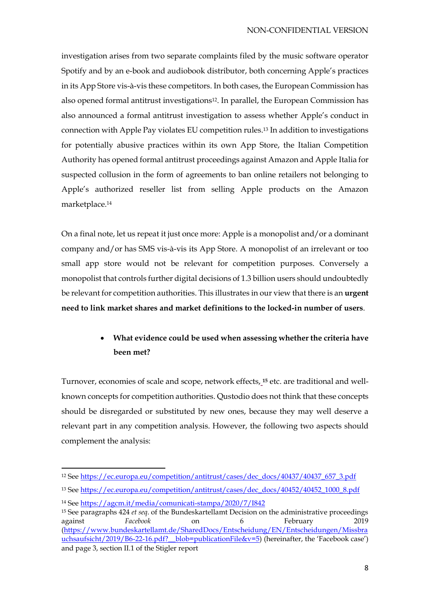investigation arises from two separate complaints filed by the music software operator Spotify and by an e-book and audiobook distributor, both concerning Apple's practices in its App Store vis-à-vis these competitors. In both cases, the European Commission has also opened formal antitrust investigations<sup>12</sup>. In parallel, the European Commission has also announced a formal antitrust investigation to assess whether Apple's conduct in connection with Apple Pay violates EU competition rules. <sup>13</sup> In addition to investigations for potentially abusive practices within its own App Store, the Italian Competition Authority has opened formal antitrust proceedings against Amazon and Apple Italia for suspected collusion in the form of agreements to ban online retailers not belonging to Apple's authorized reseller list from selling Apple products on the Amazon marketplace.<sup>14</sup>

On a final note, let us repeat it just once more: Apple is a monopolist and/or a dominant company and/or has SMS vis-à-vis its App Store. A monopolist of an irrelevant or too small app store would not be relevant for competition purposes. Conversely a monopolist that controls further digital decisions of 1.3 billion users should undoubtedly be relevant for competition authorities. This illustrates in our view that there is an **urgent need to link market shares and market definitions to the locked-in number of users**.

### • **What evidence could be used when assessing whether the criteria have been met?**

Turnover, economies of scale and scope, network effects, **<sup>15</sup>** etc. are traditional and wellknown concepts for competition authorities. Qustodio does not think that these concepts should be disregarded or substituted by new ones, because they may well deserve a relevant part in any competition analysis. However, the following two aspects should complement the analysis:

<sup>12</sup> See [https://ec.europa.eu/competition/antitrust/cases/dec\\_docs/40437/40437\\_657\\_3.pdf](https://ec.europa.eu/competition/antitrust/cases/dec_docs/40437/40437_657_3.pdf)

<sup>&</sup>lt;sup>13</sup> See [https://ec.europa.eu/competition/antitrust/cases/dec\\_docs/40452/40452\\_1000\\_8.pdf](https://ec.europa.eu/competition/antitrust/cases/dec_docs/40452/40452_1000_8.pdf)

<sup>14</sup> See<https://agcm.it/media/comunicati-stampa/2020/7/I842>

<sup>15</sup> See paragraphs 424 *et seq*. of the Bundeskartellamt Decision on the administrative proceedings against *Facebook* on 6 February 2019 [\(https://www.bundeskartellamt.de/SharedDocs/Entscheidung/EN/Entscheidungen/Missbra](https://www.bundeskartellamt.de/SharedDocs/Entscheidung/EN/Entscheidungen/Missbrauchsaufsicht/2019/B6-22-16.pdf?__blob=publicationFile&v=5) [uchsaufsicht/2019/B6-22-16.pdf?\\_\\_blob=publicationFile&v=5\)](https://www.bundeskartellamt.de/SharedDocs/Entscheidung/EN/Entscheidungen/Missbrauchsaufsicht/2019/B6-22-16.pdf?__blob=publicationFile&v=5) (hereinafter, the 'Facebook case') and page 3, section II.1 of the Stigler report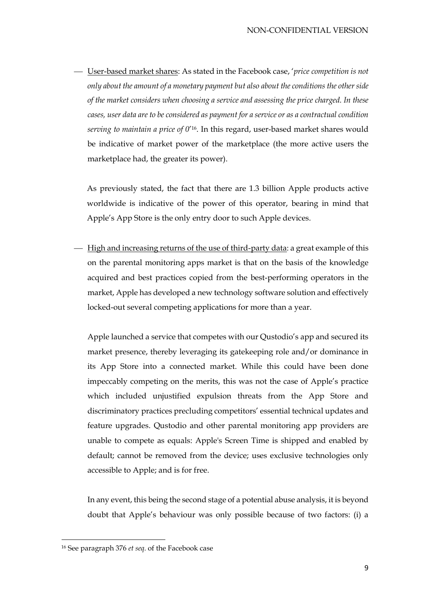⎯ User-based market shares: As stated in the Facebook case, '*price competition is not only about the amount of a monetary payment but also about the conditions the other side of the market considers when choosing a service and assessing the price charged. In these cases, user data are to be considered as payment for a service or as a contractual condition serving to maintain a price of 0*' <sup>16</sup>. In this regard, user-based market shares would be indicative of market power of the marketplace (the more active users the marketplace had, the greater its power).

As previously stated, the fact that there are 1.3 billion Apple products active worldwide is indicative of the power of this operator, bearing in mind that Apple's App Store is the only entry door to such Apple devices.

 $-$  High and increasing returns of the use of third-party data: a great example of this on the parental monitoring apps market is that on the basis of the knowledge acquired and best practices copied from the best-performing operators in the market, Apple has developed a new technology software solution and effectively locked-out several competing applications for more than a year.

Apple launched a service that competes with our Qustodio's app and secured its market presence, thereby leveraging its gatekeeping role and/or dominance in its App Store into a connected market. While this could have been done impeccably competing on the merits, this was not the case of Apple's practice which included unjustified expulsion threats from the App Store and discriminatory practices precluding competitors' essential technical updates and feature upgrades. Qustodio and other parental monitoring app providers are unable to compete as equals: Apple's Screen Time is shipped and enabled by default; cannot be removed from the device; uses exclusive technologies only accessible to Apple; and is for free.

In any event, this being the second stage of a potential abuse analysis, it is beyond doubt that Apple's behaviour was only possible because of two factors: (i) a

<sup>16</sup> See paragraph 376 *et seq*. of the Facebook case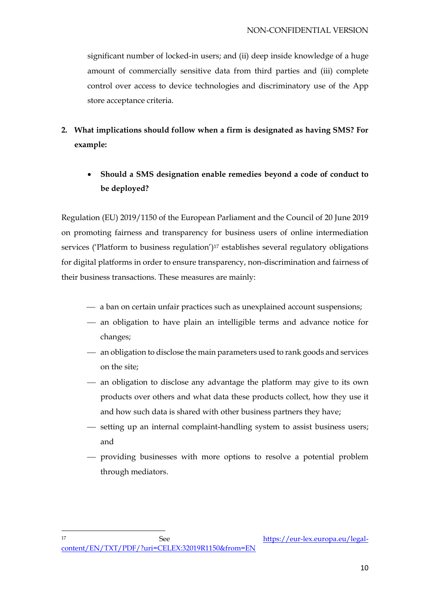significant number of locked-in users; and (ii) deep inside knowledge of a huge amount of commercially sensitive data from third parties and (iii) complete control over access to device technologies and discriminatory use of the App store acceptance criteria.

- **2. What implications should follow when a firm is designated as having SMS? For example:**
	- **Should a SMS designation enable remedies beyond a code of conduct to be deployed?**

Regulation (EU) 2019/1150 of the European Parliament and the Council of 20 June 2019 on promoting fairness and transparency for business users of online intermediation services ('Platform to business regulation')<sup>17</sup> establishes several regulatory obligations for digital platforms in order to ensure transparency, non-discrimination and fairness of their business transactions. These measures are mainly:

- $-$  a ban on certain unfair practices such as unexplained account suspensions;
- an obligation to have plain an intelligible terms and advance notice for changes;
- $\overline{\phantom{a}}$  an obligation to disclose the main parameters used to rank goods and services on the site;
- an obligation to disclose any advantage the platform may give to its own products over others and what data these products collect, how they use it and how such data is shared with other business partners they have;
- $-$  setting up an internal complaint-handling system to assist business users; and
- ⎯ providing businesses with more options to resolve a potential problem through mediators.

17 See [https://eur-lex.europa.eu/legal](https://eur-lex.europa.eu/legal-content/EN/TXT/PDF/?uri=CELEX:32019R1150&from=EN)[content/EN/TXT/PDF/?uri=CELEX:32019R1150&from=EN](https://eur-lex.europa.eu/legal-content/EN/TXT/PDF/?uri=CELEX:32019R1150&from=EN)

<sup>10</sup>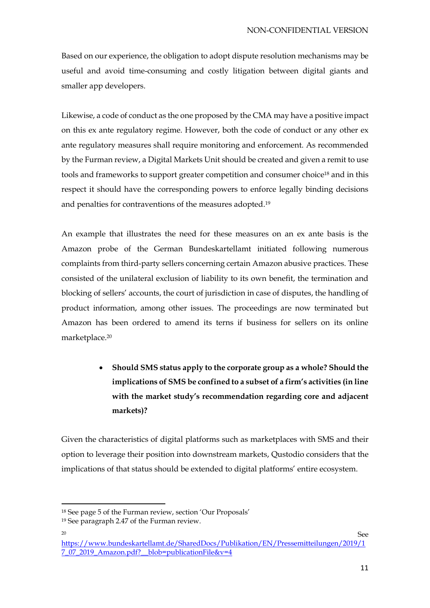Based on our experience, the obligation to adopt dispute resolution mechanisms may be useful and avoid time-consuming and costly litigation between digital giants and smaller app developers.

Likewise, a code of conduct as the one proposed by the CMA may have a positive impact on this ex ante regulatory regime. However, both the code of conduct or any other ex ante regulatory measures shall require monitoring and enforcement. As recommended by the Furman review, a Digital Markets Unit should be created and given a remit to use tools and frameworks to support greater competition and consumer choice<sup>18</sup> and in this respect it should have the corresponding powers to enforce legally binding decisions and penalties for contraventions of the measures adopted. 19

An example that illustrates the need for these measures on an ex ante basis is the Amazon probe of the German Bundeskartellamt initiated following numerous complaints from third-party sellers concerning certain Amazon abusive practices. These consisted of the unilateral exclusion of liability to its own benefit, the termination and blocking of sellers' accounts, the court of jurisdiction in case of disputes, the handling of product information, among other issues. The proceedings are now terminated but Amazon has been ordered to amend its terns if business for sellers on its online marketplace.<sup>20</sup>

> • **Should SMS status apply to the corporate group as a whole? Should the implications of SMS be confined to a subset of a firm's activities (in line with the market study's recommendation regarding core and adjacent markets)?**

Given the characteristics of digital platforms such as marketplaces with SMS and their option to leverage their position into downstream markets, Qustodio considers that the implications of that status should be extended to digital platforms' entire ecosystem.

<sup>18</sup> See page 5 of the Furman review, section 'Our Proposals'

<sup>19</sup> See paragraph 2.47 of the Furman review.

<sup>20</sup> See

[https://www.bundeskartellamt.de/SharedDocs/Publikation/EN/Pressemitteilungen/2019/1](https://www.bundeskartellamt.de/SharedDocs/Publikation/EN/Pressemitteilungen/2019/17_07_2019_Amazon.pdf?__blob=publicationFile&v=4) [7\\_07\\_2019\\_Amazon.pdf?\\_\\_blob=publicationFile&v=4](https://www.bundeskartellamt.de/SharedDocs/Publikation/EN/Pressemitteilungen/2019/17_07_2019_Amazon.pdf?__blob=publicationFile&v=4)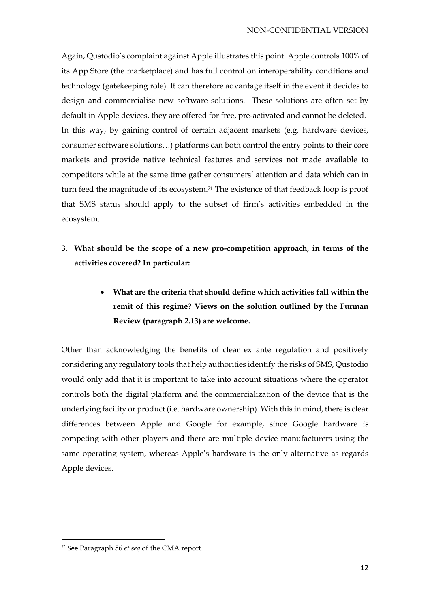Again, Qustodio's complaint against Apple illustrates this point. Apple controls 100% of its App Store (the marketplace) and has full control on interoperability conditions and technology (gatekeeping role). It can therefore advantage itself in the event it decides to design and commercialise new software solutions. These solutions are often set by default in Apple devices, they are offered for free, pre-activated and cannot be deleted. In this way, by gaining control of certain adjacent markets (e.g. hardware devices, consumer software solutions…) platforms can both control the entry points to their core markets and provide native technical features and services not made available to competitors while at the same time gather consumers' attention and data which can in turn feed the magnitude of its ecosystem. <sup>21</sup> The existence of that feedback loop is proof that SMS status should apply to the subset of firm's activities embedded in the ecosystem.

- **3. What should be the scope of a new pro-competition approach, in terms of the activities covered? In particular:**
	- **What are the criteria that should define which activities fall within the remit of this regime? Views on the solution outlined by the Furman Review (paragraph 2.13) are welcome.**

Other than acknowledging the benefits of clear ex ante regulation and positively considering any regulatory tools that help authorities identify the risks of SMS, Qustodio would only add that it is important to take into account situations where the operator controls both the digital platform and the commercialization of the device that is the underlying facility or product (i.e. hardware ownership). With this in mind, there is clear differences between Apple and Google for example, since Google hardware is competing with other players and there are multiple device manufacturers using the same operating system, whereas Apple's hardware is the only alternative as regards Apple devices.

<sup>21</sup> See Paragraph 56 *et seq* of the CMA report.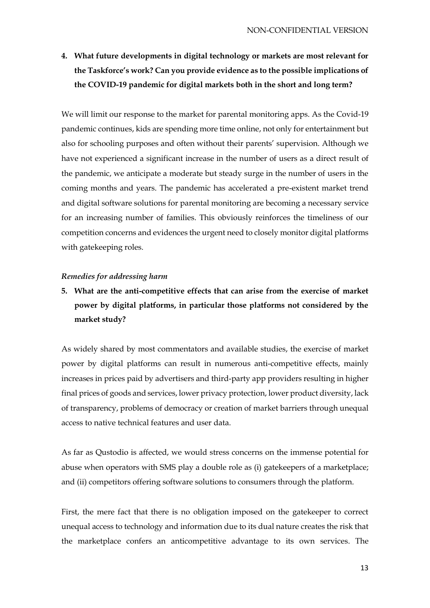**4. What future developments in digital technology or markets are most relevant for the Taskforce's work? Can you provide evidence as to the possible implications of the COVID-19 pandemic for digital markets both in the short and long term?**

We will limit our response to the market for parental monitoring apps. As the Covid-19 pandemic continues, kids are spending more time online, not only for entertainment but also for schooling purposes and often without their parents' supervision. Although we have not experienced a significant increase in the number of users as a direct result of the pandemic, we anticipate a moderate but steady surge in the number of users in the coming months and years. The pandemic has accelerated a pre-existent market trend and digital software solutions for parental monitoring are becoming a necessary service for an increasing number of families. This obviously reinforces the timeliness of our competition concerns and evidences the urgent need to closely monitor digital platforms with gatekeeping roles.

#### *Remedies for addressing harm*

**5. What are the anti-competitive effects that can arise from the exercise of market power by digital platforms, in particular those platforms not considered by the market study?**

As widely shared by most commentators and available studies, the exercise of market power by digital platforms can result in numerous anti-competitive effects, mainly increases in prices paid by advertisers and third-party app providers resulting in higher final prices of goods and services, lower privacy protection, lower product diversity, lack of transparency, problems of democracy or creation of market barriers through unequal access to native technical features and user data.

As far as Qustodio is affected, we would stress concerns on the immense potential for abuse when operators with SMS play a double role as (i) gatekeepers of a marketplace; and (ii) competitors offering software solutions to consumers through the platform.

First, the mere fact that there is no obligation imposed on the gatekeeper to correct unequal access to technology and information due to its dual nature creates the risk that the marketplace confers an anticompetitive advantage to its own services. The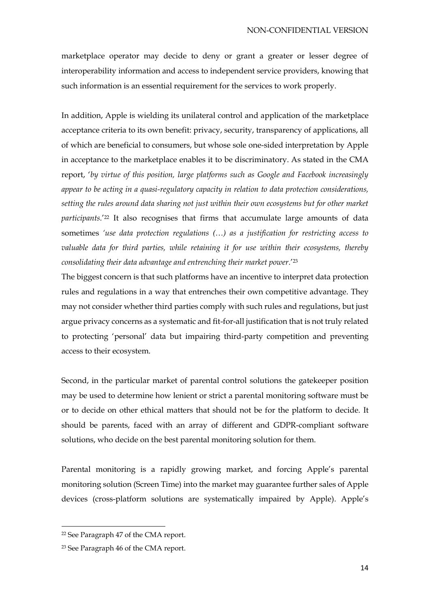marketplace operator may decide to deny or grant a greater or lesser degree of interoperability information and access to independent service providers, knowing that such information is an essential requirement for the services to work properly.

In addition, Apple is wielding its unilateral control and application of the marketplace acceptance criteria to its own benefit: privacy, security, transparency of applications, all of which are beneficial to consumers, but whose sole one-sided interpretation by Apple in acceptance to the marketplace enables it to be discriminatory. As stated in the CMA report, '*by virtue of this position, large platforms such as Google and Facebook increasingly appear to be acting in a quasi-regulatory capacity in relation to data protection considerations, setting the rules around data sharing not just within their own ecosystems but for other market participants.*' <sup>22</sup> It also recognises that firms that accumulate large amounts of data sometimes *'use data protection regulations (…) as a justification for restricting access to valuable data for third parties, while retaining it for use within their ecosystems, thereby consolidating their data advantage and entrenching their market power.*' 23

The biggest concern is that such platforms have an incentive to interpret data protection rules and regulations in a way that entrenches their own competitive advantage. They may not consider whether third parties comply with such rules and regulations, but just argue privacy concerns as a systematic and fit-for-all justification that is not truly related to protecting 'personal' data but impairing third-party competition and preventing access to their ecosystem.

Second, in the particular market of parental control solutions the gatekeeper position may be used to determine how lenient or strict a parental monitoring software must be or to decide on other ethical matters that should not be for the platform to decide. It should be parents, faced with an array of different and GDPR-compliant software solutions, who decide on the best parental monitoring solution for them.

Parental monitoring is a rapidly growing market, and forcing Apple's parental monitoring solution (Screen Time) into the market may guarantee further sales of Apple devices (cross-platform solutions are systematically impaired by Apple). Apple's

<sup>22</sup> See Paragraph 47 of the CMA report.

<sup>23</sup> See Paragraph 46 of the CMA report.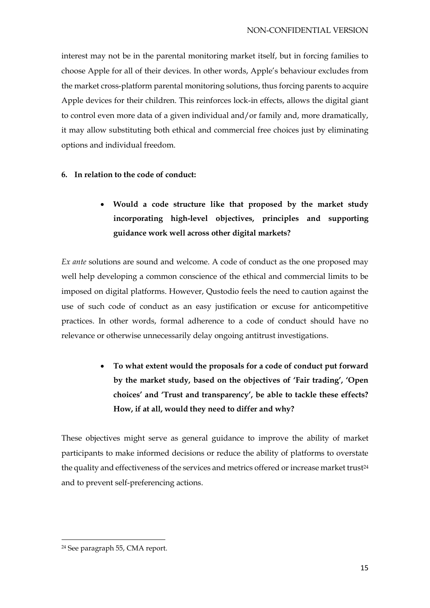interest may not be in the parental monitoring market itself, but in forcing families to choose Apple for all of their devices. In other words, Apple's behaviour excludes from the market cross-platform parental monitoring solutions, thus forcing parents to acquire Apple devices for their children. This reinforces lock-in effects, allows the digital giant to control even more data of a given individual and/or family and, more dramatically, it may allow substituting both ethical and commercial free choices just by eliminating options and individual freedom.

#### **6. In relation to the code of conduct:**

• **Would a code structure like that proposed by the market study incorporating high-level objectives, principles and supporting guidance work well across other digital markets?**

*Ex ante* solutions are sound and welcome. A code of conduct as the one proposed may well help developing a common conscience of the ethical and commercial limits to be imposed on digital platforms. However, Qustodio feels the need to caution against the use of such code of conduct as an easy justification or excuse for anticompetitive practices. In other words, formal adherence to a code of conduct should have no relevance or otherwise unnecessarily delay ongoing antitrust investigations.

> • **To what extent would the proposals for a code of conduct put forward by the market study, based on the objectives of 'Fair trading', 'Open choices' and 'Trust and transparency', be able to tackle these effects? How, if at all, would they need to differ and why?**

These objectives might serve as general guidance to improve the ability of market participants to make informed decisions or reduce the ability of platforms to overstate the quality and effectiveness of the services and metrics offered or increase market trust<sup>24</sup> and to prevent self-preferencing actions.

<sup>24</sup> See paragraph 55, CMA report.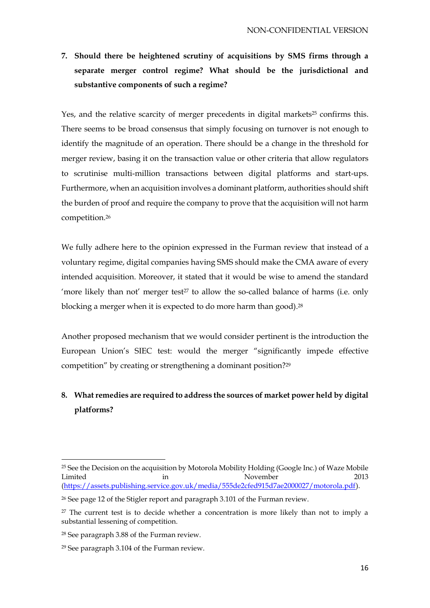# **7. Should there be heightened scrutiny of acquisitions by SMS firms through a separate merger control regime? What should be the jurisdictional and substantive components of such a regime?**

Yes, and the relative scarcity of merger precedents in digital markets<sup>25</sup> confirms this. There seems to be broad consensus that simply focusing on turnover is not enough to identify the magnitude of an operation. There should be a change in the threshold for merger review, basing it on the transaction value or other criteria that allow regulators to scrutinise multi-million transactions between digital platforms and start-ups. Furthermore, when an acquisition involves a dominant platform, authorities should shift the burden of proof and require the company to prove that the acquisition will not harm competition. 26

We fully adhere here to the opinion expressed in the Furman review that instead of a voluntary regime, digital companies having SMS should make the CMA aware of every intended acquisition. Moreover, it stated that it would be wise to amend the standard 'more likely than not' merger test<sup>27</sup> to allow the so-called balance of harms (i.e. only blocking a merger when it is expected to do more harm than good). 28

Another proposed mechanism that we would consider pertinent is the introduction the European Union's SIEC test: would the merger "significantly impede effective competition" by creating or strengthening a dominant position? 29

### **8. What remedies are required to address the sources of market power held by digital platforms?**

<sup>&</sup>lt;sup>25</sup> See the Decision on the acquisition by Motorola Mobility Holding (Google Inc.) of Waze Mobile Limited in November 2013 [\(https://assets.publishing.service.gov.uk/media/555de2cfed915d7ae2000027/motorola.pdf\)](https://assets.publishing.service.gov.uk/media/555de2cfed915d7ae2000027/motorola.pdf).

<sup>26</sup> See page 12 of the Stigler report and paragraph 3.101 of the Furman review.

 $27$  The current test is to decide whether a concentration is more likely than not to imply a substantial lessening of competition.

<sup>28</sup> See paragraph 3.88 of the Furman review.

<sup>29</sup> See paragraph 3.104 of the Furman review.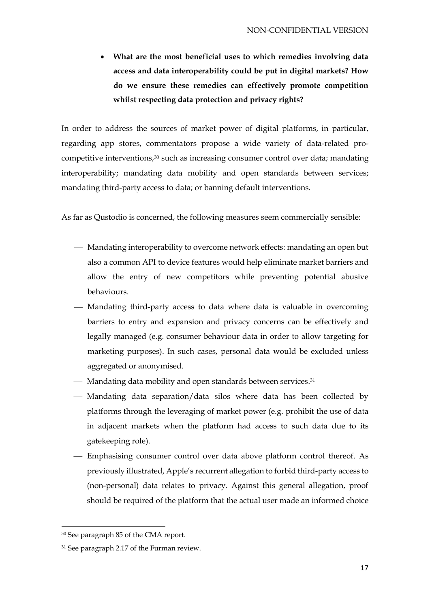• **What are the most beneficial uses to which remedies involving data access and data interoperability could be put in digital markets? How do we ensure these remedies can effectively promote competition whilst respecting data protection and privacy rights?**

In order to address the sources of market power of digital platforms, in particular, regarding app stores, commentators propose a wide variety of data-related procompetitive interventions, <sup>30</sup> such as increasing consumer control over data; mandating interoperability; mandating data mobility and open standards between services; mandating third-party access to data; or banning default interventions.

As far as Qustodio is concerned, the following measures seem commercially sensible:

- Mandating interoperability to overcome network effects: mandating an open but also a common API to device features would help eliminate market barriers and allow the entry of new competitors while preventing potential abusive behaviours.
- Mandating third-party access to data where data is valuable in overcoming barriers to entry and expansion and privacy concerns can be effectively and legally managed (e.g. consumer behaviour data in order to allow targeting for marketing purposes). In such cases, personal data would be excluded unless aggregated or anonymised.
- Mandating data mobility and open standards between services.<sup>31</sup>
- Mandating data separation/data silos where data has been collected by platforms through the leveraging of market power (e.g. prohibit the use of data in adjacent markets when the platform had access to such data due to its gatekeeping role).
- ⎯ Emphasising consumer control over data above platform control thereof. As previously illustrated, Apple's recurrent allegation to forbid third-party access to (non-personal) data relates to privacy. Against this general allegation, proof should be required of the platform that the actual user made an informed choice

<sup>30</sup> See paragraph 85 of the CMA report.

<sup>&</sup>lt;sup>31</sup> See paragraph 2.17 of the Furman review.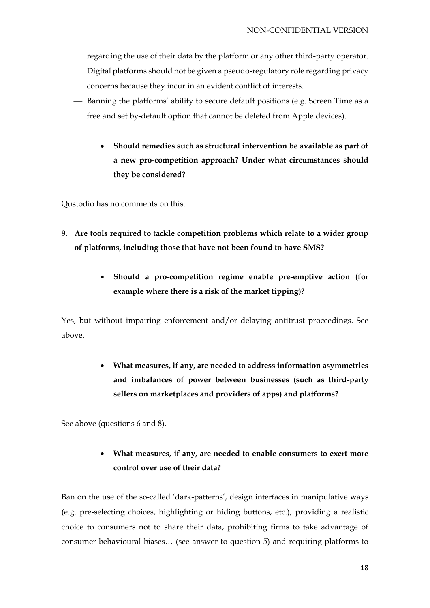regarding the use of their data by the platform or any other third-party operator. Digital platforms should not be given a pseudo-regulatory role regarding privacy concerns because they incur in an evident conflict of interests.

- ⎯ Banning the platforms' ability to secure default positions (e.g. Screen Time as a free and set by-default option that cannot be deleted from Apple devices).
	- **Should remedies such as structural intervention be available as part of a new pro-competition approach? Under what circumstances should they be considered?**

Qustodio has no comments on this.

- **9. Are tools required to tackle competition problems which relate to a wider group of platforms, including those that have not been found to have SMS?**
	- **Should a pro-competition regime enable pre-emptive action (for example where there is a risk of the market tipping)?**

Yes, but without impairing enforcement and/or delaying antitrust proceedings. See above.

> • **What measures, if any, are needed to address information asymmetries and imbalances of power between businesses (such as third-party sellers on marketplaces and providers of apps) and platforms?**

See above (questions 6 and 8).

• **What measures, if any, are needed to enable consumers to exert more control over use of their data?**

Ban on the use of the so-called 'dark-patterns', design interfaces in manipulative ways (e.g. pre-selecting choices, highlighting or hiding buttons, etc.), providing a realistic choice to consumers not to share their data, prohibiting firms to take advantage of consumer behavioural biases… (see answer to question 5) and requiring platforms to